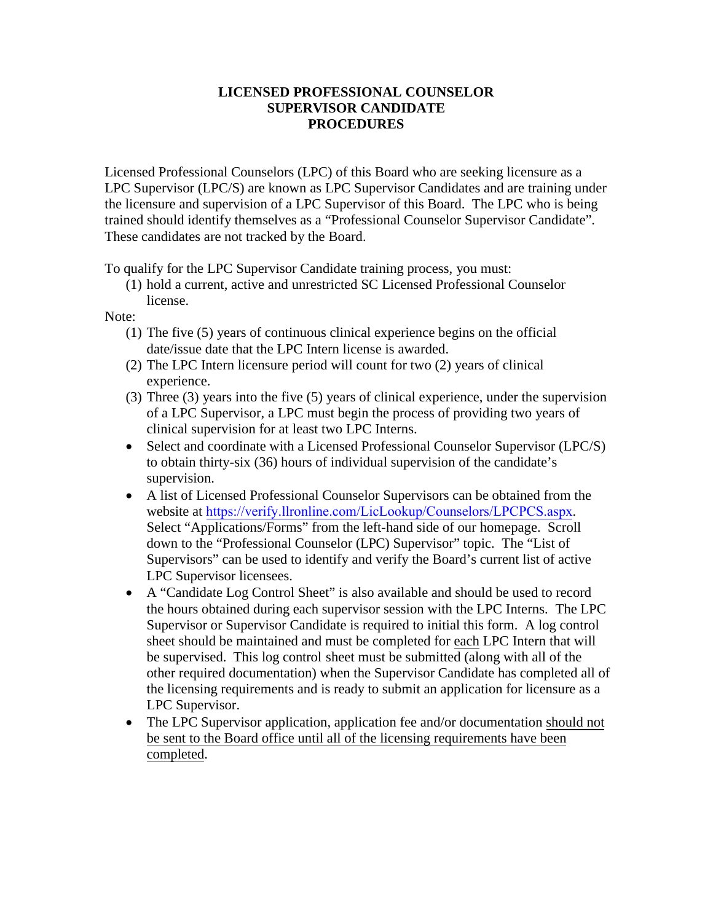## **LICENSED PROFESSIONAL COUNSELOR SUPERVISOR CANDIDATE PROCEDURES**

Licensed Professional Counselors (LPC) of this Board who are seeking licensure as a LPC Supervisor (LPC/S) are known as LPC Supervisor Candidates and are training under the licensure and supervision of a LPC Supervisor of this Board. The LPC who is being trained should identify themselves as a "Professional Counselor Supervisor Candidate". These candidates are not tracked by the Board.

To qualify for the LPC Supervisor Candidate training process, you must:

(1) hold a current, active and unrestricted SC Licensed Professional Counselor license.

Note:

- (1) The five (5) years of continuous clinical experience begins on the official date/issue date that the LPC Intern license is awarded.
- (2) The LPC Intern licensure period will count for two (2) years of clinical experience.
- (3) Three (3) years into the five (5) years of clinical experience, under the supervision of a LPC Supervisor, a LPC must begin the process of providing two years of clinical supervision for at least two LPC Interns.
- Select and coordinate with a Licensed Professional Counselor Supervisor (LPC/S) to obtain thirty-six (36) hours of individual supervision of the candidate's supervision.
- A list of Licensed Professional Counselor Supervisors can be obtained from the website at <https://verify.llronline.com/LicLookup/Counselors/LPCPCS.aspx>. Select "Applications/Forms" from the left-hand side of our homepage. Scroll down to the "Professional Counselor (LPC) Supervisor" topic. The "List of Supervisors" can be used to identify and verify the Board's current list of active LPC Supervisor licensees.
- A "Candidate Log Control Sheet" is also available and should be used to record the hours obtained during each supervisor session with the LPC Interns. The LPC Supervisor or Supervisor Candidate is required to initial this form. A log control sheet should be maintained and must be completed for each LPC Intern that will be supervised. This log control sheet must be submitted (along with all of the other required documentation) when the Supervisor Candidate has completed all of the licensing requirements and is ready to submit an application for licensure as a LPC Supervisor.
- The LPC Supervisor application, application fee and/or documentation should not be sent to the Board office until all of the licensing requirements have been completed.